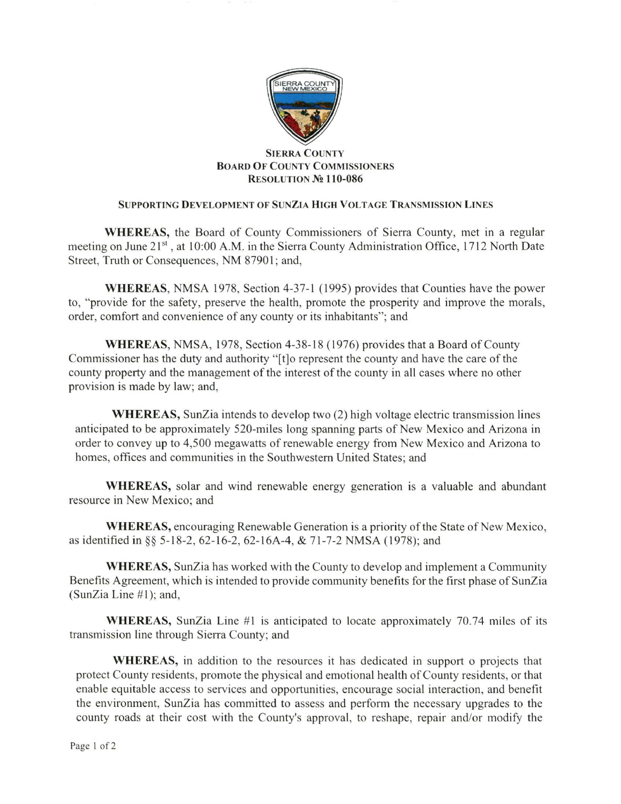

## SIERRA CoUNTY BoARD OF C0UNTY CoMMISSI0NERS RESOLUTION No 110-086

## SUPPORTING DEVELOPMENT OF SUNZIA HIGH VOLTAGE TRANSMISSION LINES

WHEREAS, the Board of County Commissioners of Sierra County, met in a regular meeting on June 21<sup>st</sup>, at 10:00 A.M. in the Sierra County Administration Office, 1712 North Date Street, Truth or Consequences, NM 87901; and,

WHEREAS, NMSA 1978, Section 4-37-l (1995) provides that Counties have the power to, "provide for the safety, preserve the health, promote the prosperity and improve the morals, order, comfort and convenience of any county or its inhabitants"; and

WHEREAS, NMSA, 1978, Section 4-38-18 (1976) provides that a Board of County Commissioner has the duty and authority "[t]o represent the county and have the care of the county property and the management of the interest of the county in all cases where no other provision is made by law; and,

WHEREAS, SunZia intends to develop two (2) high voltage electric transmission lines anticipated to be approximately 520-miles long spanning parts of New Mexico and Arizona in order to convey up to 4,500 megawatts of renewable energy from New Mexico and Arizona to homes, offices and communities in the Southwestem United States; and

WHEREAS, solar and wind renewable energy generation is a valuable and abundant resource in New Mexico; and

WHEREAS, encouraging Renewable Generation is a priority of the State of New Mexico, as identified in §§ 5-18-2, 62-16-2, 62-16A-4, & 71-7-2 NMSA (1978); and

WHEREAS, SunZia has worked with the County to develop and implement a Community Benefits Agreement, which is intended to provide community benefits for the first phase of SunZia (SunZia Line  $#1$ ); and,

WHEREAS, SunZia Line  $#1$  is anticipated to locate approximately 70.74 miles of its transmission line through Sierra County; and

WHEREAS, in addition to the resources it has dedicated in support o projects that protect County residents, promote the physical and emotional health ofCounty residents, or that enable equitable access to services and opportunities, encourage social interaction, and benefit the environment, SunZia has committed to assess and perform the necessary upgrades to the county roads at their cost with the County's approval, to reshape, repair and/or modify the